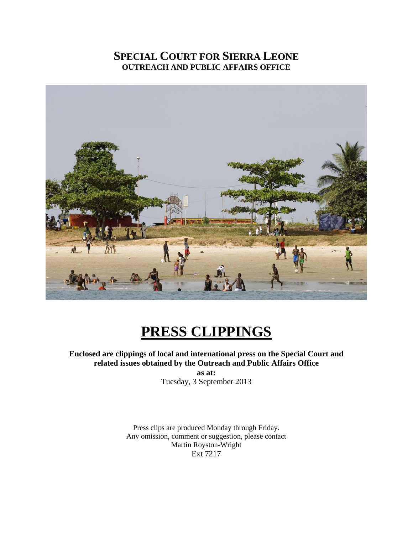# **SPECIAL COURT FOR SIERRA LEONE OUTREACH AND PUBLIC AFFAIRS OFFICE**



# **PRESS CLIPPINGS**

**Enclosed are clippings of local and international press on the Special Court and related issues obtained by the Outreach and Public Affairs Office as at:** 

Tuesday, 3 September 2013

Press clips are produced Monday through Friday. Any omission, comment or suggestion, please contact Martin Royston-Wright Ext 7217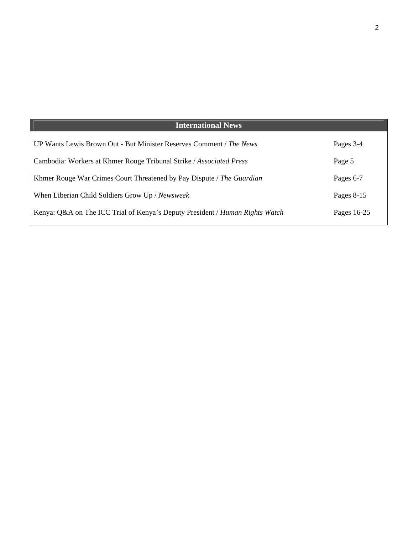#### **International News**  UP Wants Lewis Brown Out - But Minister Reserves Comment / *The News* Cambodia: Workers at Khmer Rouge Tribunal Strike / *Associated Press* Khmer Rouge War Crimes Court Threatened by Pay Dispute / *The Guardian* When Liberian Child Soldiers Grow Up / *Newsweek* Kenya: Q&A on The ICC Trial of Kenya's Deputy President / *Human Rights Watch* Pages 3-4 Page 5 Pages 6-7 Pages 8-15 Pages 16-25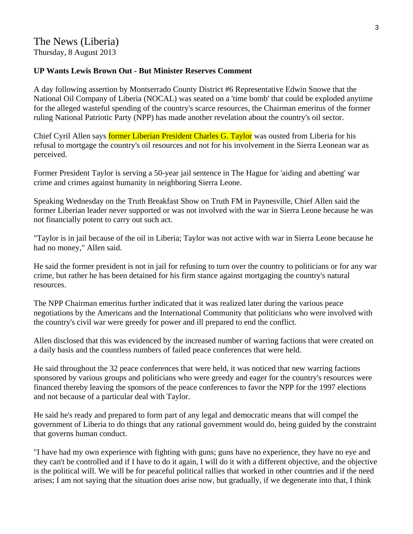# The News (Liberia) Thursday, 8 August 2013

#### **UP Wants Lewis Brown Out - But Minister Reserves Comment**

A day following assertion by Montserrado County District #6 Representative Edwin Snowe that the National Oil Company of Liberia (NOCAL) was seated on a 'time bomb' that could be exploded anytime for the alleged wasteful spending of the country's scarce resources, the Chairman emeritus of the former ruling National Patriotic Party (NPP) has made another revelation about the country's oil sector.

Chief Cyril Allen says former Liberian President Charles G. Taylor was ousted from Liberia for his refusal to mortgage the country's oil resources and not for his involvement in the Sierra Leonean war as perceived.

Former President Taylor is serving a 50-year jail sentence in The Hague for 'aiding and abetting' war crime and crimes against humanity in neighboring Sierra Leone.

Speaking Wednesday on the Truth Breakfast Show on Truth FM in Paynesville, Chief Allen said the former Liberian leader never supported or was not involved with the war in Sierra Leone because he was not financially potent to carry out such act.

"Taylor is in jail because of the oil in Liberia; Taylor was not active with war in Sierra Leone because he had no money," Allen said.

He said the former president is not in jail for refusing to turn over the country to politicians or for any war crime, but rather he has been detained for his firm stance against mortgaging the country's natural resources.

The NPP Chairman emeritus further indicated that it was realized later during the various peace negotiations by the Americans and the International Community that politicians who were involved with the country's civil war were greedy for power and ill prepared to end the conflict.

Allen disclosed that this was evidenced by the increased number of warring factions that were created on a daily basis and the countless numbers of failed peace conferences that were held.

He said throughout the 32 peace conferences that were held, it was noticed that new warring factions sponsored by various groups and politicians who were greedy and eager for the country's resources were financed thereby leaving the sponsors of the peace conferences to favor the NPP for the 1997 elections and not because of a particular deal with Taylor.

He said he's ready and prepared to form part of any legal and democratic means that will compel the government of Liberia to do things that any rational government would do, being guided by the constraint that governs human conduct.

"I have had my own experience with fighting with guns; guns have no experience, they have no eye and they can't be controlled and if I have to do it again, I will do it with a different objective, and the objective is the political will. We will be for peaceful political rallies that worked in other countries and if the need arises; I am not saying that the situation does arise now, but gradually, if we degenerate into that, I think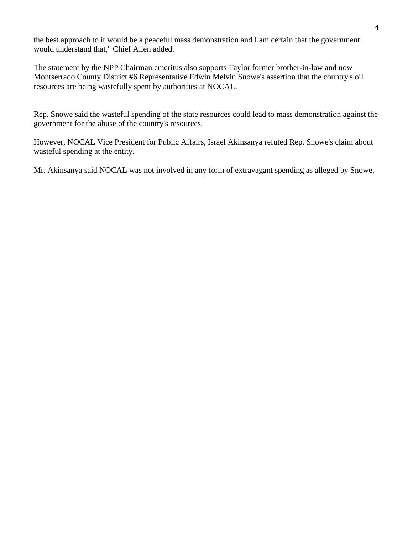the best approach to it would be a peaceful mass demonstration and I am certain that the government would understand that," Chief Allen added.

The statement by the NPP Chairman emeritus also supports Taylor former brother-in-law and now Montserrado County District #6 Representative Edwin Melvin Snowe's assertion that the country's oil resources are being wastefully spent by authorities at NOCAL.

Rep. Snowe said the wasteful spending of the state resources could lead to mass demonstration against the government for the abuse of the country's resources.

However, NOCAL Vice President for Public Affairs, Israel Akinsanya refuted Rep. Snowe's claim about wasteful spending at the entity.

Mr. Akinsanya said NOCAL was not involved in any form of extravagant spending as alleged by Snowe.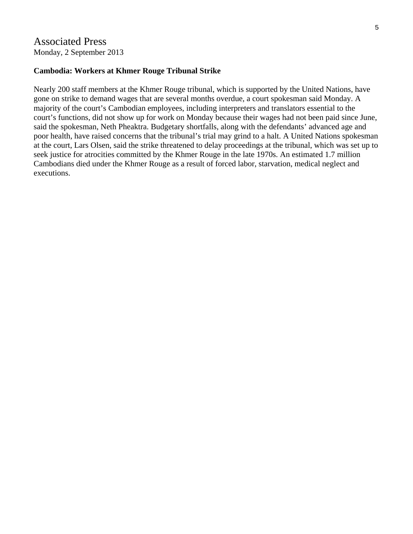# Associated Press Monday, 2 September 2013

#### **Cambodia: Workers at Khmer Rouge Tribunal Strike**

Nearly 200 staff members at the Khmer Rouge tribunal, which is supported by the United Nations, have gone on strike to demand wages that are several months overdue, a court spokesman said Monday. A majority of the court's Cambodian employees, including interpreters and translators essential to the court's functions, did not show up for work on Monday because their wages had not been paid since June, said the spokesman, Neth Pheaktra. Budgetary shortfalls, along with the defendants' advanced age and poor health, have raised concerns that the tribunal's trial may grind to a halt. A United Nations spokesman at the court, Lars Olsen, said the strike threatened to delay proceedings at the tribunal, which was set up to seek justice for atrocities committed by the Khmer Rouge in the late 1970s. An estimated 1.7 million Cambodians died under the Khmer Rouge as a result of forced labor, starvation, medical neglect and executions.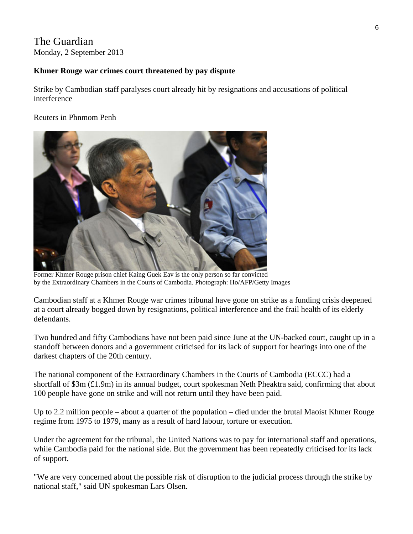# The Guardian Monday, 2 September 2013

#### **Khmer Rouge war crimes court threatened by pay dispute**

Strike by Cambodian staff paralyses court already hit by resignations and accusations of political interference

#### Reuters in Phnmom Penh



Former Khmer Rouge prison chief Kaing Guek Eav is the only person so far convicted by the Extraordinary Chambers in the Courts of Cambodia. Photograph: Ho/AFP/Getty Images

Cambodian staff at a Khmer Rouge war crimes tribunal have gone on strike as a funding crisis deepened at a court already bogged down by resignations, political interference and the frail health of its elderly defendants.

Two hundred and fifty Cambodians have not been paid since June at the UN-backed court, caught up in a standoff between donors and a government criticised for its lack of support for hearings into one of the darkest chapters of the 20th century.

The national component of the Extraordinary Chambers in the Courts of Cambodia (ECCC) had a shortfall of \$3m (£1.9m) in its annual budget, court spokesman Neth Pheaktra said, confirming that about 100 people have gone on strike and will not return until they have been paid.

Up to 2.2 million people – about a quarter of the population – died under the brutal Maoist Khmer Rouge regime from 1975 to 1979, many as a result of hard labour, torture or execution.

Under the agreement for the tribunal, the United Nations was to pay for international staff and operations, while Cambodia paid for the national side. But the government has been repeatedly criticised for its lack of support.

"We are very concerned about the possible risk of disruption to the judicial process through the strike by national staff," said UN spokesman Lars Olsen.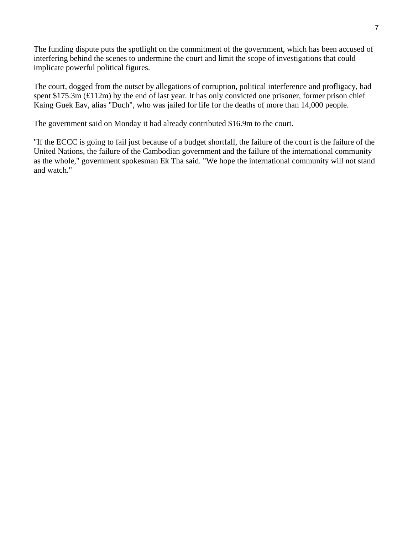The funding dispute puts the spotlight on the commitment of the government, which has been accused of interfering behind the scenes to undermine the court and limit the scope of investigations that could implicate powerful political figures.

The court, dogged from the outset by allegations of corruption, political interference and profligacy, had spent \$175.3m (£112m) by the end of last year. It has only convicted one prisoner, former prison chief Kaing Guek Eav, alias "Duch", who was jailed for life for the deaths of more than 14,000 people.

The government said on Monday it had already contributed \$16.9m to the court.

"If the ECCC is going to fail just because of a budget shortfall, the failure of the court is the failure of the United Nations, the failure of the Cambodian government and the failure of the international community as the whole," government spokesman Ek Tha said. "We hope the international community will not stand and watch."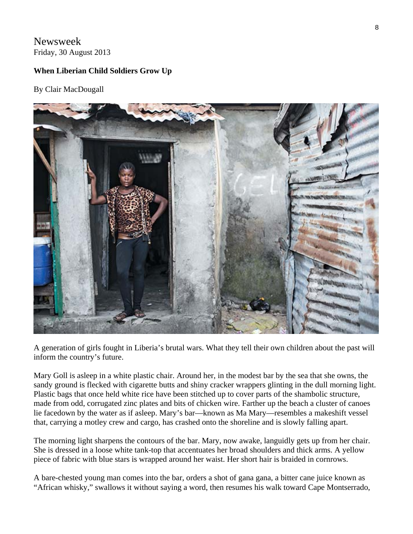# Newsweek Friday, 30 August 2013

#### **When Liberian Child Soldiers Grow Up**

#### By Clair MacDougall



A generation of girls fought in Liberia's brutal wars. What they tell their own children about the past will inform the country's future.

Mary Goll is asleep in a white plastic chair. Around her, in the modest bar by the sea that she owns, the sandy ground is flecked with cigarette butts and shiny cracker wrappers glinting in the dull morning light. Plastic bags that once held white rice have been stitched up to cover parts of the shambolic structure, made from odd, corrugated zinc plates and bits of chicken wire. Farther up the beach a cluster of canoes lie facedown by the water as if asleep. Mary's bar—known as Ma Mary—resembles a makeshift vessel that, carrying a motley crew and cargo, has crashed onto the shoreline and is slowly falling apart.

The morning light sharpens the contours of the bar. Mary, now awake, languidly gets up from her chair. She is dressed in a loose white tank-top that accentuates her broad shoulders and thick arms. A yellow piece of fabric with blue stars is wrapped around her waist. Her short hair is braided in cornrows.

A bare-chested young man comes into the bar, orders a shot of gana gana, a bitter cane juice known as "African whisky," swallows it without saying a word, then resumes his walk toward Cape Montserrado,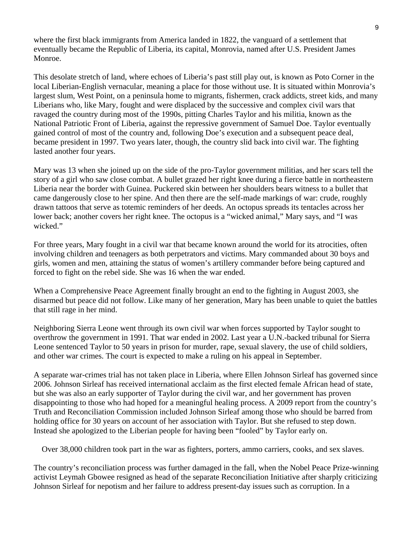where the first black immigrants from America landed in 1822, the vanguard of a settlement that eventually became the Republic of Liberia, its capital, Monrovia, named after U.S. President James Monroe.

This desolate stretch of land, where echoes of Liberia's past still play out, is known as Poto Corner in the local Liberian-English vernacular, meaning a place for those without use. It is situated within Monrovia's largest slum, West Point, on a peninsula home to migrants, fishermen, crack addicts, street kids, and many Liberians who, like Mary, fought and were displaced by the successive and complex civil wars that ravaged the country during most of the 1990s, pitting Charles Taylor and his militia, known as the National Patriotic Front of Liberia, against the repressive government of Samuel Doe. Taylor eventually gained control of most of the country and, following Doe's execution and a subsequent peace deal, became president in 1997. Two years later, though, the country slid back into civil war. The fighting lasted another four years.

Mary was 13 when she joined up on the side of the pro-Taylor government militias, and her scars tell the story of a girl who saw close combat. A bullet grazed her right knee during a fierce battle in northeastern Liberia near the border with Guinea. Puckered skin between her shoulders bears witness to a bullet that came dangerously close to her spine. And then there are the self-made markings of war: crude, roughly drawn tattoos that serve as totemic reminders of her deeds. An octopus spreads its tentacles across her lower back; another covers her right knee. The octopus is a "wicked animal," Mary says, and "I was wicked."

For three years, Mary fought in a civil war that became known around the world for its atrocities, often involving children and teenagers as both perpetrators and victims. Mary commanded about 30 boys and girls, women and men, attaining the status of women's artillery commander before being captured and forced to fight on the rebel side. She was 16 when the war ended.

When a Comprehensive Peace Agreement finally brought an end to the fighting in August 2003, she disarmed but peace did not follow. Like many of her generation, Mary has been unable to quiet the battles that still rage in her mind.

Neighboring Sierra Leone went through its own civil war when forces supported by Taylor sought to overthrow the government in 1991. That war ended in 2002. Last year a U.N.-backed tribunal for Sierra Leone sentenced Taylor to 50 years in prison for murder, rape, sexual slavery, the use of child soldiers, and other war crimes. The court is expected to make a ruling on his appeal in September.

A separate war-crimes trial has not taken place in Liberia, where Ellen Johnson Sirleaf has governed since 2006. Johnson Sirleaf has received international acclaim as the first elected female African head of state, but she was also an early supporter of Taylor during the civil war, and her government has proven disappointing to those who had hoped for a meaningful healing process. A 2009 report from the country's Truth and Reconciliation Commission included Johnson Sirleaf among those who should be barred from holding office for 30 years on account of her association with Taylor. But she refused to step down. Instead she apologized to the Liberian people for having been "fooled" by Taylor early on.

Over 38,000 children took part in the war as fighters, porters, ammo carriers, cooks, and sex slaves.

The country's reconciliation process was further damaged in the fall, when the Nobel Peace Prize-winning activist Leymah Gbowee resigned as head of the separate Reconciliation Initiative after sharply criticizing Johnson Sirleaf for nepotism and her failure to address present-day issues such as corruption. In a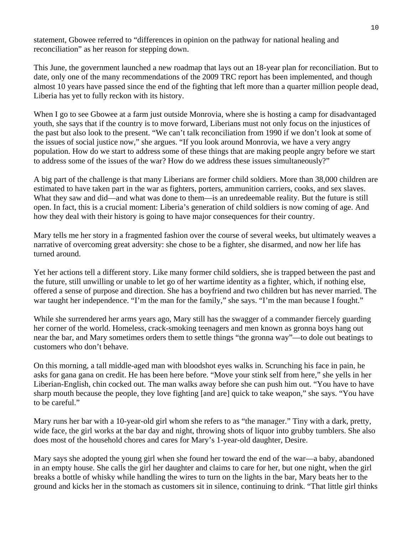statement, Gbowee referred to "differences in opinion on the pathway for national healing and reconciliation" as her reason for stepping down.

This June, the government launched a new roadmap that lays out an 18-year plan for reconciliation. But to date, only one of the many recommendations of the 2009 TRC report has been implemented, and though almost 10 years have passed since the end of the fighting that left more than a quarter million people dead, Liberia has yet to fully reckon with its history.

When I go to see Gbowee at a farm just outside Monrovia, where she is hosting a camp for disadvantaged youth, she says that if the country is to move forward, Liberians must not only focus on the injustices of the past but also look to the present. "We can't talk reconciliation from 1990 if we don't look at some of the issues of social justice now," she argues. "If you look around Monrovia, we have a very angry population. How do we start to address some of these things that are making people angry before we start to address some of the issues of the war? How do we address these issues simultaneously?"

A big part of the challenge is that many Liberians are former child soldiers. More than 38,000 children are estimated to have taken part in the war as fighters, porters, ammunition carriers, cooks, and sex slaves. What they saw and did—and what was done to them—is an unredeemable reality. But the future is still open. In fact, this is a crucial moment: Liberia's generation of child soldiers is now coming of age. And how they deal with their history is going to have major consequences for their country.

Mary tells me her story in a fragmented fashion over the course of several weeks, but ultimately weaves a narrative of overcoming great adversity: she chose to be a fighter, she disarmed, and now her life has turned around.

Yet her actions tell a different story. Like many former child soldiers, she is trapped between the past and the future, still unwilling or unable to let go of her wartime identity as a fighter, which, if nothing else, offered a sense of purpose and direction. She has a boyfriend and two children but has never married. The war taught her independence. "I'm the man for the family," she says. "I'm the man because I fought."

While she surrendered her arms years ago, Mary still has the swagger of a commander fiercely guarding her corner of the world. Homeless, crack-smoking teenagers and men known as gronna boys hang out near the bar, and Mary sometimes orders them to settle things "the gronna way"—to dole out beatings to customers who don't behave.

On this morning, a tall middle-aged man with bloodshot eyes walks in. Scrunching his face in pain, he asks for gana gana on credit. He has been here before. "Move your stink self from here," she yells in her Liberian-English, chin cocked out. The man walks away before she can push him out. "You have to have sharp mouth because the people, they love fighting [and are] quick to take weapon," she says. "You have to be careful."

Mary runs her bar with a 10-year-old girl whom she refers to as "the manager." Tiny with a dark, pretty, wide face, the girl works at the bar day and night, throwing shots of liquor into grubby tumblers. She also does most of the household chores and cares for Mary's 1-year-old daughter, Desire.

Mary says she adopted the young girl when she found her toward the end of the war—a baby, abandoned in an empty house. She calls the girl her daughter and claims to care for her, but one night, when the girl breaks a bottle of whisky while handling the wires to turn on the lights in the bar, Mary beats her to the ground and kicks her in the stomach as customers sit in silence, continuing to drink. "That little girl thinks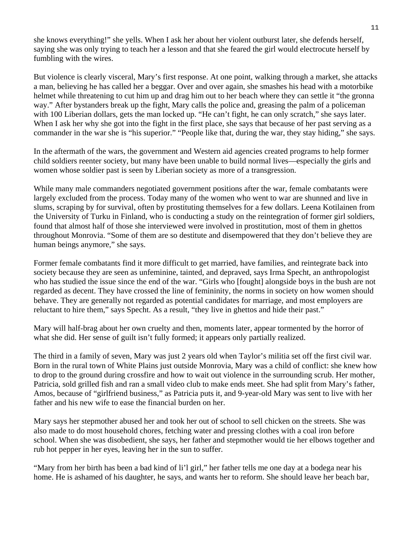she knows everything!" she yells. When I ask her about her violent outburst later, she defends herself, saying she was only trying to teach her a lesson and that she feared the girl would electrocute herself by fumbling with the wires.

But violence is clearly visceral, Mary's first response. At one point, walking through a market, she attacks a man, believing he has called her a beggar. Over and over again, she smashes his head with a motorbike helmet while threatening to cut him up and drag him out to her beach where they can settle it "the gronna way." After bystanders break up the fight, Mary calls the police and, greasing the palm of a policeman with 100 Liberian dollars, gets the man locked up. "He can't fight, he can only scratch," she says later. When I ask her why she got into the fight in the first place, she says that because of her past serving as a commander in the war she is "his superior." "People like that, during the war, they stay hiding," she says.

In the aftermath of the wars, the government and Western aid agencies created programs to help former child soldiers reenter society, but many have been unable to build normal lives—especially the girls and women whose soldier past is seen by Liberian society as more of a transgression.

While many male commanders negotiated government positions after the war, female combatants were largely excluded from the process. Today many of the women who went to war are shunned and live in slums, scraping by for survival, often by prostituting themselves for a few dollars. Leena Kotilainen from the University of Turku in Finland, who is conducting a study on the reintegration of former girl soldiers, found that almost half of those she interviewed were involved in prostitution, most of them in ghettos throughout Monrovia. "Some of them are so destitute and disempowered that they don't believe they are human beings anymore," she says.

Former female combatants find it more difficult to get married, have families, and reintegrate back into society because they are seen as unfeminine, tainted, and depraved, says Irma Specht, an anthropologist who has studied the issue since the end of the war. "Girls who [fought] alongside boys in the bush are not regarded as decent. They have crossed the line of femininity, the norms in society on how women should behave. They are generally not regarded as potential candidates for marriage, and most employers are reluctant to hire them," says Specht. As a result, "they live in ghettos and hide their past."

Mary will half-brag about her own cruelty and then, moments later, appear tormented by the horror of what she did. Her sense of guilt isn't fully formed; it appears only partially realized.

The third in a family of seven, Mary was just 2 years old when Taylor's militia set off the first civil war. Born in the rural town of White Plains just outside Monrovia, Mary was a child of conflict: she knew how to drop to the ground during crossfire and how to wait out violence in the surrounding scrub. Her mother, Patricia, sold grilled fish and ran a small video club to make ends meet. She had split from Mary's father, Amos, because of "girlfriend business," as Patricia puts it, and 9-year-old Mary was sent to live with her father and his new wife to ease the financial burden on her.

Mary says her stepmother abused her and took her out of school to sell chicken on the streets. She was also made to do most household chores, fetching water and pressing clothes with a coal iron before school. When she was disobedient, she says, her father and stepmother would tie her elbows together and rub hot pepper in her eyes, leaving her in the sun to suffer.

"Mary from her birth has been a bad kind of li'l girl," her father tells me one day at a bodega near his home. He is ashamed of his daughter, he says, and wants her to reform. She should leave her beach bar,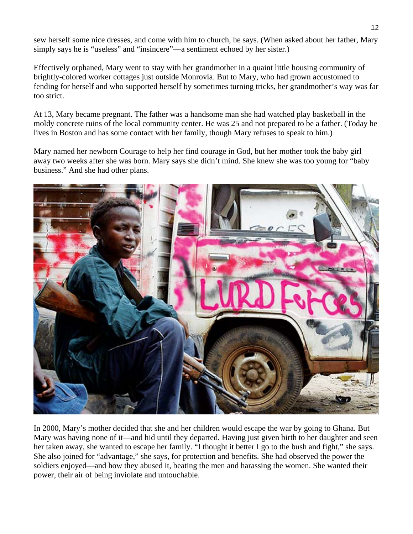sew herself some nice dresses, and come with him to church, he says. (When asked about her father, Mary simply says he is "useless" and "insincere"—a sentiment echoed by her sister.)

Effectively orphaned, Mary went to stay with her grandmother in a quaint little housing community of brightly-colored worker cottages just outside Monrovia. But to Mary, who had grown accustomed to fending for herself and who supported herself by sometimes turning tricks, her grandmother's way was far too strict.

At 13, Mary became pregnant. The father was a handsome man she had watched play basketball in the moldy concrete ruins of the local community center. He was 25 and not prepared to be a father. (Today he lives in Boston and has some contact with her family, though Mary refuses to speak to him.)

Mary named her newborn Courage to help her find courage in God, but her mother took the baby girl away two weeks after she was born. Mary says she didn't mind. She knew she was too young for "baby business." And she had other plans.



In 2000, Mary's mother decided that she and her children would escape the war by going to Ghana. But Mary was having none of it—and hid until they departed. Having just given birth to her daughter and seen her taken away, she wanted to escape her family. "I thought it better I go to the bush and fight," she says. She also joined for "advantage," she says, for protection and benefits. She had observed the power the soldiers enjoyed—and how they abused it, beating the men and harassing the women. She wanted their power, their air of being inviolate and untouchable.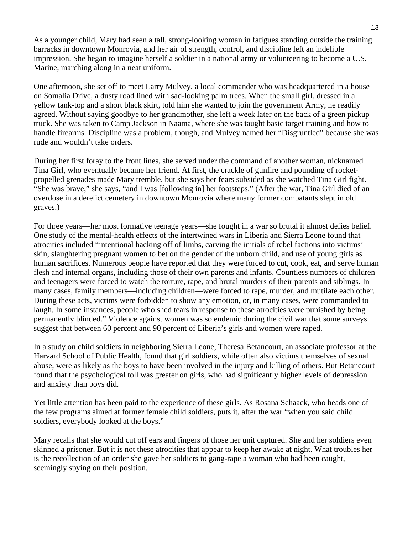As a younger child, Mary had seen a tall, strong-looking woman in fatigues standing outside the training barracks in downtown Monrovia, and her air of strength, control, and discipline left an indelible impression. She began to imagine herself a soldier in a national army or volunteering to become a U.S. Marine, marching along in a neat uniform.

One afternoon, she set off to meet Larry Mulvey, a local commander who was headquartered in a house on Somalia Drive, a dusty road lined with sad-looking palm trees. When the small girl, dressed in a yellow tank-top and a short black skirt, told him she wanted to join the government Army, he readily agreed. Without saying goodbye to her grandmother, she left a week later on the back of a green pickup truck. She was taken to Camp Jackson in Naama, where she was taught basic target training and how to handle firearms. Discipline was a problem, though, and Mulvey named her "Disgruntled" because she was rude and wouldn't take orders.

During her first foray to the front lines, she served under the command of another woman, nicknamed Tina Girl, who eventually became her friend. At first, the crackle of gunfire and pounding of rocketpropelled grenades made Mary tremble, but she says her fears subsided as she watched Tina Girl fight. "She was brave," she says, "and I was [following in] her footsteps." (After the war, Tina Girl died of an overdose in a derelict cemetery in downtown Monrovia where many former combatants slept in old graves.)

For three years—her most formative teenage years—she fought in a war so brutal it almost defies belief. One study of the mental-health effects of the intertwined wars in Liberia and Sierra Leone found that atrocities included "intentional hacking off of limbs, carving the initials of rebel factions into victims' skin, slaughtering pregnant women to bet on the gender of the unborn child, and use of young girls as human sacrifices. Numerous people have reported that they were forced to cut, cook, eat, and serve human flesh and internal organs, including those of their own parents and infants. Countless numbers of children and teenagers were forced to watch the torture, rape, and brutal murders of their parents and siblings. In many cases, family members—including children—were forced to rape, murder, and mutilate each other. During these acts, victims were forbidden to show any emotion, or, in many cases, were commanded to laugh. In some instances, people who shed tears in response to these atrocities were punished by being permanently blinded." Violence against women was so endemic during the civil war that some surveys suggest that between 60 percent and 90 percent of Liberia's girls and women were raped.

In a study on child soldiers in neighboring Sierra Leone, Theresa Betancourt, an associate professor at the Harvard School of Public Health, found that girl soldiers, while often also victims themselves of sexual abuse, were as likely as the boys to have been involved in the injury and killing of others. But Betancourt found that the psychological toll was greater on girls, who had significantly higher levels of depression and anxiety than boys did.

Yet little attention has been paid to the experience of these girls. As Rosana Schaack, who heads one of the few programs aimed at former female child soldiers, puts it, after the war "when you said child soldiers, everybody looked at the boys."

Mary recalls that she would cut off ears and fingers of those her unit captured. She and her soldiers even skinned a prisoner. But it is not these atrocities that appear to keep her awake at night. What troubles her is the recollection of an order she gave her soldiers to gang-rape a woman who had been caught, seemingly spying on their position.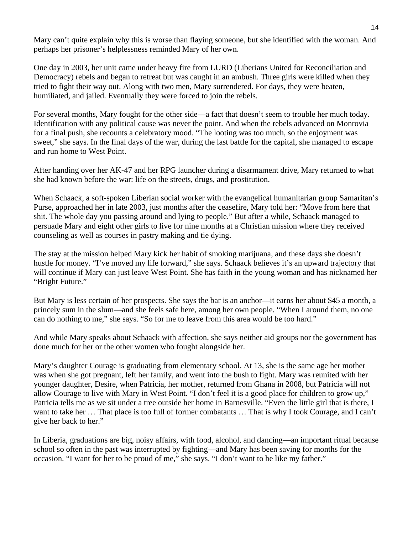Mary can't quite explain why this is worse than flaying someone, but she identified with the woman. And perhaps her prisoner's helplessness reminded Mary of her own.

One day in 2003, her unit came under heavy fire from LURD (Liberians United for Reconciliation and Democracy) rebels and began to retreat but was caught in an ambush. Three girls were killed when they tried to fight their way out. Along with two men, Mary surrendered. For days, they were beaten, humiliated, and jailed. Eventually they were forced to join the rebels.

For several months, Mary fought for the other side—a fact that doesn't seem to trouble her much today. Identification with any political cause was never the point. And when the rebels advanced on Monrovia for a final push, she recounts a celebratory mood. "The looting was too much, so the enjoyment was sweet," she says. In the final days of the war, during the last battle for the capital, she managed to escape and run home to West Point.

After handing over her AK-47 and her RPG launcher during a disarmament drive, Mary returned to what she had known before the war: life on the streets, drugs, and prostitution.

When Schaack, a soft-spoken Liberian social worker with the evangelical humanitarian group Samaritan's Purse, approached her in late 2003, just months after the ceasefire, Mary told her: "Move from here that shit. The whole day you passing around and lying to people." But after a while, Schaack managed to persuade Mary and eight other girls to live for nine months at a Christian mission where they received counseling as well as courses in pastry making and tie dying.

The stay at the mission helped Mary kick her habit of smoking marijuana, and these days she doesn't hustle for money. "I've moved my life forward," she says. Schaack believes it's an upward trajectory that will continue if Mary can just leave West Point. She has faith in the young woman and has nicknamed her "Bright Future."

But Mary is less certain of her prospects. She says the bar is an anchor—it earns her about \$45 a month, a princely sum in the slum—and she feels safe here, among her own people. "When I around them, no one can do nothing to me," she says. "So for me to leave from this area would be too hard."

And while Mary speaks about Schaack with affection, she says neither aid groups nor the government has done much for her or the other women who fought alongside her.

Mary's daughter Courage is graduating from elementary school. At 13, she is the same age her mother was when she got pregnant, left her family, and went into the bush to fight. Mary was reunited with her younger daughter, Desire, when Patricia, her mother, returned from Ghana in 2008, but Patricia will not allow Courage to live with Mary in West Point. "I don't feel it is a good place for children to grow up," Patricia tells me as we sit under a tree outside her home in Barnesville. "Even the little girl that is there, I want to take her … That place is too full of former combatants … That is why I took Courage, and I can't give her back to her."

In Liberia, graduations are big, noisy affairs, with food, alcohol, and dancing—an important ritual because school so often in the past was interrupted by fighting—and Mary has been saving for months for the occasion. "I want for her to be proud of me," she says. "I don't want to be like my father."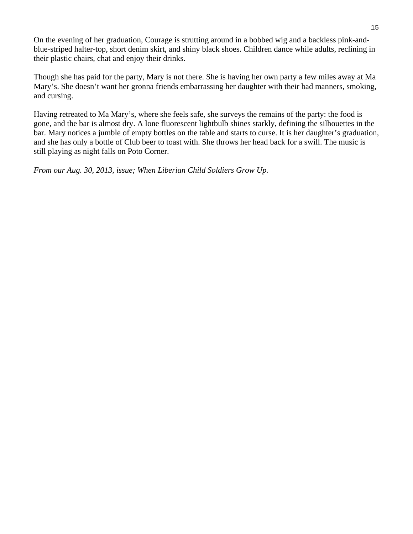On the evening of her graduation, Courage is strutting around in a bobbed wig and a backless pink-andblue-striped halter-top, short denim skirt, and shiny black shoes. Children dance while adults, reclining in their plastic chairs, chat and enjoy their drinks.

Though she has paid for the party, Mary is not there. She is having her own party a few miles away at Ma Mary's. She doesn't want her gronna friends embarrassing her daughter with their bad manners, smoking, and cursing.

Having retreated to Ma Mary's, where she feels safe, she surveys the remains of the party: the food is gone, and the bar is almost dry. A lone fluorescent lightbulb shines starkly, defining the silhouettes in the bar. Mary notices a jumble of empty bottles on the table and starts to curse. It is her daughter's graduation, and she has only a bottle of Club beer to toast with. She throws her head back for a swill. The music is still playing as night falls on Poto Corner.

*From our Aug. 30, 2013, issue; When Liberian Child Soldiers Grow Up.*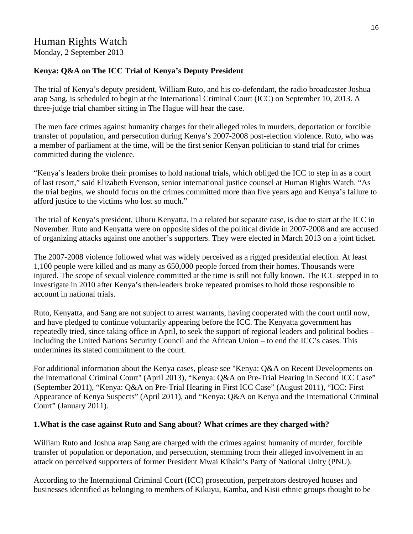# Human Rights Watch

Monday, 2 September 2013

#### **Kenya: Q&A on The ICC Trial of Kenya's Deputy President**

The trial of Kenya's deputy president, William Ruto, and his co-defendant, the radio broadcaster Joshua arap Sang, is scheduled to begin at the International Criminal Court (ICC) on September 10, 2013. A three-judge trial chamber sitting in The Hague will hear the case.

The men face crimes against humanity charges for their alleged roles in murders, deportation or forcible transfer of population, and persecution during Kenya's 2007-2008 post-election violence. Ruto, who was a member of parliament at the time, will be the first senior Kenyan politician to stand trial for crimes committed during the violence.

"Kenya's leaders broke their promises to hold national trials, which obliged the ICC to step in as a court of last resort," said Elizabeth Evenson, senior international justice counsel at Human Rights Watch. "As the trial begins, we should focus on the crimes committed more than five years ago and Kenya's failure to afford justice to the victims who lost so much."

The trial of Kenya's president, Uhuru Kenyatta, in a related but separate case, is due to start at the ICC in November. Ruto and Kenyatta were on opposite sides of the political divide in 2007-2008 and are accused of organizing attacks against one another's supporters. They were elected in March 2013 on a joint ticket.

The 2007-2008 violence followed what was widely perceived as a rigged presidential election. At least 1,100 people were killed and as many as 650,000 people forced from their homes. Thousands were injured. The scope of sexual violence committed at the time is still not fully known. The ICC stepped in to investigate in 2010 after Kenya's then-leaders broke repeated promises to hold those responsible to account in national trials.

Ruto, Kenyatta, and Sang are not subject to arrest warrants, having cooperated with the court until now, and have pledged to continue voluntarily appearing before the ICC. The Kenyatta government has repeatedly tried, since taking office in April, to seek the support of regional leaders and political bodies – including the United Nations Security Council and the African Union – to end the ICC's cases. This undermines its stated commitment to the court.

For additional information about the Kenya cases, please see "Kenya: Q&A on Recent Developments on the International Criminal Court" (April 2013), "Kenya: Q&A on Pre-Trial Hearing in Second ICC Case" (September 2011), "Kenya: Q&A on Pre-Trial Hearing in First ICC Case" (August 2011), "ICC: First Appearance of Kenya Suspects" (April 2011), and "Kenya: Q&A on Kenya and the International Criminal Court" (January 2011).

#### **1.What is the case against Ruto and Sang about? What crimes are they charged with?**

William Ruto and Joshua arap Sang are charged with the crimes against humanity of murder, forcible transfer of population or deportation, and persecution, stemming from their alleged involvement in an attack on perceived supporters of former President Mwai Kibaki's Party of National Unity (PNU).

According to the International Criminal Court (ICC) prosecution, perpetrators destroyed houses and businesses identified as belonging to members of Kikuyu, Kamba, and Kisii ethnic groups thought to be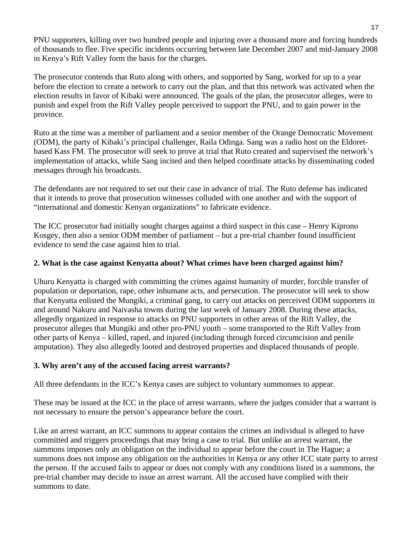PNU supporters, killing over two hundred people and injuring over a thousand more and forcing hundreds of thousands to flee. Five specific incidents occurring between late December 2007 and mid-January 2008 in Kenya's Rift Valley form the basis for the charges.

The prosecutor contends that Ruto along with others, and supported by Sang, worked for up to a year before the election to create a network to carry out the plan, and that this network was activated when the election results in favor of Kibaki were announced. The goals of the plan, the prosecutor alleges, were to punish and expel from the Rift Valley people perceived to support the PNU, and to gain power in the province.

Ruto at the time was a member of parliament and a senior member of the Orange Democratic Movement (ODM), the party of Kibaki's principal challenger, Raila Odinga. Sang was a radio host on the Eldoretbased Kass FM. The prosecutor will seek to prove at trial that Ruto created and supervised the network's implementation of attacks, while Sang incited and then helped coordinate attacks by disseminating coded messages through his broadcasts.

The defendants are not required to set out their case in advance of trial. The Ruto defense has indicated that it intends to prove that prosecution witnesses colluded with one another and with the support of "international and domestic Kenyan organizations" to fabricate evidence.

The ICC prosecutor had initially sought charges against a third suspect in this case – Henry Kiprono Kosgey, then also a senior ODM member of parliament – but a pre-trial chamber found insufficient evidence to send the case against him to trial.

#### **2. What is the case against Kenyatta about? What crimes have been charged against him?**

Uhuru Kenyatta is charged with committing the crimes against humanity of murder, forcible transfer of population or deportation, rape, other inhumane acts, and persecution. The prosecutor will seek to show that Kenyatta enlisted the Mungiki, a criminal gang, to carry out attacks on perceived ODM supporters in and around Nakuru and Naivasha towns during the last week of January 2008. During these attacks, allegedly organized in response to attacks on PNU supporters in other areas of the Rift Valley, the prosecutor alleges that Mungiki and other pro-PNU youth – some transported to the Rift Valley from other parts of Kenya – killed, raped, and injured (including through forced circumcision and penile amputation). They also allegedly looted and destroyed properties and displaced thousands of people.

#### **3. Why aren't any of the accused facing arrest warrants?**

All three defendants in the ICC's Kenya cases are subject to voluntary summonses to appear.

These may be issued at the ICC in the place of arrest warrants, where the judges consider that a warrant is not necessary to ensure the person's appearance before the court.

Like an arrest warrant, an ICC summons to appear contains the crimes an individual is alleged to have committed and triggers proceedings that may bring a case to trial. But unlike an arrest warrant, the summons imposes only an obligation on the individual to appear before the court in The Hague; a summons does not impose any obligation on the authorities in Kenya or any other ICC state party to arrest the person. If the accused fails to appear or does not comply with any conditions listed in a summons, the pre-trial chamber may decide to issue an arrest warrant. All the accused have complied with their summons to date.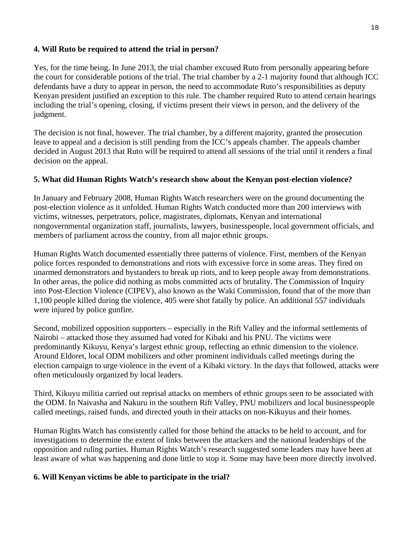#### **4. Will Ruto be required to attend the trial in person?**

Yes, for the time being. In June 2013, the trial chamber excused Ruto from personally appearing before the court for considerable potions of the trial. The trial chamber by a 2-1 majority found that although ICC defendants have a duty to appear in person, the need to accommodate Ruto's responsibilities as deputy Kenyan president justified an exception to this rule. The chamber required Ruto to attend certain hearings including the trial's opening, closing, if victims present their views in person, and the delivery of the judgment.

The decision is not final, however. The trial chamber, by a different majority, granted the prosecution leave to appeal and a decision is still pending from the ICC's appeals chamber. The appeals chamber decided in August 2013 that Ruto will be required to attend all sessions of the trial until it renders a final decision on the appeal.

#### **5. What did Human Rights Watch's research show about the Kenyan post-election violence?**

In January and February 2008, Human Rights Watch researchers were on the ground documenting the post-election violence as it unfolded. Human Rights Watch conducted more than 200 interviews with victims, witnesses, perpetrators, police, magistrates, diplomats, Kenyan and international nongovernmental organization staff, journalists, lawyers, businesspeople, local government officials, and members of parliament across the country, from all major ethnic groups.

Human Rights Watch documented essentially three patterns of violence. First, members of the Kenyan police forces responded to demonstrations and riots with excessive force in some areas. They fired on unarmed demonstrators and bystanders to break up riots, and to keep people away from demonstrations. In other areas, the police did nothing as mobs committed acts of brutality. The Commission of Inquiry into Post-Election Violence (CIPEV), also known as the Waki Commission, found that of the more than 1,100 people killed during the violence, 405 were shot fatally by police. An additional 557 individuals were injured by police gunfire.

Second, mobilized opposition supporters – especially in the Rift Valley and the informal settlements of Nairobi – attacked those they assumed had voted for Kibaki and his PNU. The victims were predominantly Kikuyu, Kenya's largest ethnic group, reflecting an ethnic dimension to the violence. Around Eldoret, local ODM mobilizers and other prominent individuals called meetings during the election campaign to urge violence in the event of a Kibaki victory. In the days that followed, attacks were often meticulously organized by local leaders.

Third, Kikuyu militia carried out reprisal attacks on members of ethnic groups seen to be associated with the ODM. In Naivasha and Nakuru in the southern Rift Valley, PNU mobilizers and local businesspeople called meetings, raised funds, and directed youth in their attacks on non-Kikuyus and their homes.

Human Rights Watch has consistently called for those behind the attacks to be held to account, and for investigations to determine the extent of links between the attackers and the national leaderships of the opposition and ruling parties. Human Rights Watch's research suggested some leaders may have been at least aware of what was happening and done little to stop it. Some may have been more directly involved.

#### **6. Will Kenyan victims be able to participate in the trial?**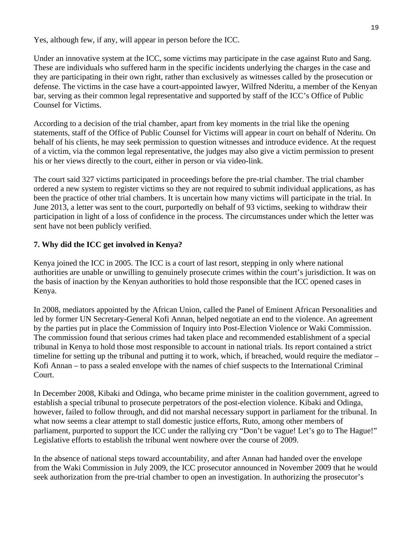Yes, although few, if any, will appear in person before the ICC.

Under an innovative system at the ICC, some victims may participate in the case against Ruto and Sang. These are individuals who suffered harm in the specific incidents underlying the charges in the case and they are participating in their own right, rather than exclusively as witnesses called by the prosecution or defense. The victims in the case have a court-appointed lawyer, Wilfred Nderitu, a member of the Kenyan bar, serving as their common legal representative and supported by staff of the ICC's Office of Public Counsel for Victims.

According to a decision of the trial chamber, apart from key moments in the trial like the opening statements, staff of the Office of Public Counsel for Victims will appear in court on behalf of Nderitu. On behalf of his clients, he may seek permission to question witnesses and introduce evidence. At the request of a victim, via the common legal representative, the judges may also give a victim permission to present his or her views directly to the court, either in person or via video-link.

The court said 327 victims participated in proceedings before the pre-trial chamber. The trial chamber ordered a new system to register victims so they are not required to submit individual applications, as has been the practice of other trial chambers. It is uncertain how many victims will participate in the trial. In June 2013, a letter was sent to the court, purportedly on behalf of 93 victims, seeking to withdraw their participation in light of a loss of confidence in the process. The circumstances under which the letter was sent have not been publicly verified.

### **7. Why did the ICC get involved in Kenya?**

Kenya joined the ICC in 2005. The ICC is a court of last resort, stepping in only where national authorities are unable or unwilling to genuinely prosecute crimes within the court's jurisdiction. It was on the basis of inaction by the Kenyan authorities to hold those responsible that the ICC opened cases in Kenya.

In 2008, mediators appointed by the African Union, called the Panel of Eminent African Personalities and led by former UN Secretary-General Kofi Annan, helped negotiate an end to the violence. An agreement by the parties put in place the Commission of Inquiry into Post-Election Violence or Waki Commission. The commission found that serious crimes had taken place and recommended establishment of a special tribunal in Kenya to hold those most responsible to account in national trials. Its report contained a strict timeline for setting up the tribunal and putting it to work, which, if breached, would require the mediator – Kofi Annan – to pass a sealed envelope with the names of chief suspects to the International Criminal Court.

In December 2008, Kibaki and Odinga, who became prime minister in the coalition government, agreed to establish a special tribunal to prosecute perpetrators of the post-election violence. Kibaki and Odinga, however, failed to follow through, and did not marshal necessary support in parliament for the tribunal. In what now seems a clear attempt to stall domestic justice efforts, Ruto, among other members of parliament, purported to support the ICC under the rallying cry "Don't be vague! Let's go to The Hague!" Legislative efforts to establish the tribunal went nowhere over the course of 2009.

In the absence of national steps toward accountability, and after Annan had handed over the envelope from the Waki Commission in July 2009, the ICC prosecutor announced in November 2009 that he would seek authorization from the pre-trial chamber to open an investigation. In authorizing the prosecutor's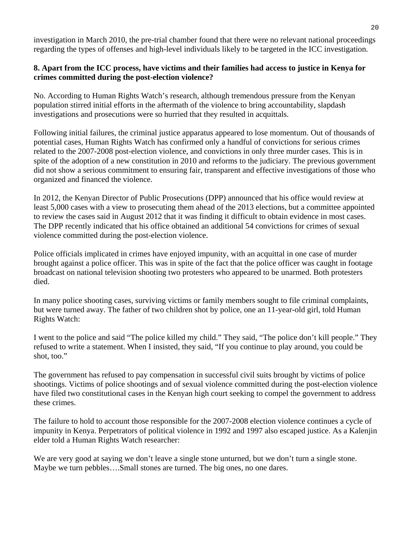investigation in March 2010, the pre-trial chamber found that there were no relevant national proceedings regarding the types of offenses and high-level individuals likely to be targeted in the ICC investigation.

#### **8. Apart from the ICC process, have victims and their families had access to justice in Kenya for crimes committed during the post-election violence?**

No. According to Human Rights Watch's research, although tremendous pressure from the Kenyan population stirred initial efforts in the aftermath of the violence to bring accountability, slapdash investigations and prosecutions were so hurried that they resulted in acquittals.

Following initial failures, the criminal justice apparatus appeared to lose momentum. Out of thousands of potential cases, Human Rights Watch has confirmed only a handful of convictions for serious crimes related to the 2007-2008 post-election violence, and convictions in only three murder cases. This is in spite of the adoption of a new constitution in 2010 and reforms to the judiciary. The previous government did not show a serious commitment to ensuring fair, transparent and effective investigations of those who organized and financed the violence.

In 2012, the Kenyan Director of Public Prosecutions (DPP) announced that his office would review at least 5,000 cases with a view to prosecuting them ahead of the 2013 elections, but a committee appointed to review the cases said in August 2012 that it was finding it difficult to obtain evidence in most cases. The DPP recently indicated that his office obtained an additional 54 convictions for crimes of sexual violence committed during the post-election violence.

Police officials implicated in crimes have enjoyed impunity, with an acquittal in one case of murder brought against a police officer. This was in spite of the fact that the police officer was caught in footage broadcast on national television shooting two protesters who appeared to be unarmed. Both protesters died.

In many police shooting cases, surviving victims or family members sought to file criminal complaints, but were turned away. The father of two children shot by police, one an 11-year-old girl, told Human Rights Watch:

I went to the police and said "The police killed my child." They said, "The police don't kill people." They refused to write a statement. When I insisted, they said, "If you continue to play around, you could be shot, too."

The government has refused to pay compensation in successful civil suits brought by victims of police shootings. Victims of police shootings and of sexual violence committed during the post-election violence have filed two constitutional cases in the Kenyan high court seeking to compel the government to address these crimes.

The failure to hold to account those responsible for the 2007-2008 election violence continues a cycle of impunity in Kenya. Perpetrators of political violence in 1992 and 1997 also escaped justice. As a Kalenjin elder told a Human Rights Watch researcher:

We are very good at saying we don't leave a single stone unturned, but we don't turn a single stone. Maybe we turn pebbles….Small stones are turned. The big ones, no one dares.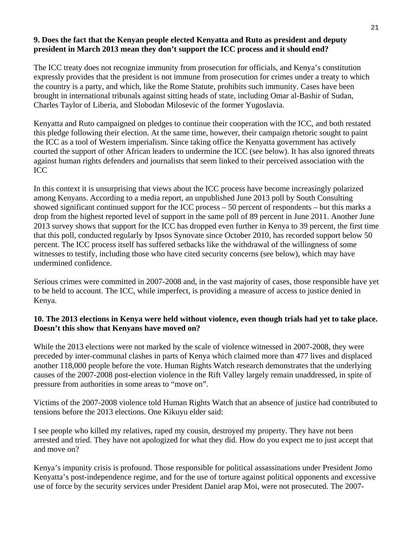#### **9. Does the fact that the Kenyan people elected Kenyatta and Ruto as president and deputy president in March 2013 mean they don't support the ICC process and it should end?**

The ICC treaty does not recognize immunity from prosecution for officials, and Kenya's constitution expressly provides that the president is not immune from prosecution for crimes under a treaty to which the country is a party, and which, like the Rome Statute, prohibits such immunity. Cases have been brought in international tribunals against sitting heads of state, including Omar al-Bashir of Sudan, Charles Taylor of Liberia, and Slobodan Milosevic of the former Yugoslavia.

Kenyatta and Ruto campaigned on pledges to continue their cooperation with the ICC, and both restated this pledge following their election. At the same time, however, their campaign rhetoric sought to paint the ICC as a tool of Western imperialism. Since taking office the Kenyatta government has actively courted the support of other African leaders to undermine the ICC (see below). It has also ignored threats against human rights defenders and journalists that seem linked to their perceived association with the ICC

In this context it is unsurprising that views about the ICC process have become increasingly polarized among Kenyans. According to a media report, an unpublished June 2013 poll by South Consulting showed significant continued support for the ICC process – 50 percent of respondents – but this marks a drop from the highest reported level of support in the same poll of 89 percent in June 2011. Another June 2013 survey shows that support for the ICC has dropped even further in Kenya to 39 percent, the first time that this poll, conducted regularly by Ipsos Synovate since October 2010, has recorded support below 50 percent. The ICC process itself has suffered setbacks like the withdrawal of the willingness of some witnesses to testify, including those who have cited security concerns (see below), which may have undermined confidence.

Serious crimes were committed in 2007-2008 and, in the vast majority of cases, those responsible have yet to be held to account. The ICC, while imperfect, is providing a measure of access to justice denied in Kenya.

#### **10. The 2013 elections in Kenya were held without violence, even though trials had yet to take place. Doesn't this show that Kenyans have moved on?**

While the 2013 elections were not marked by the scale of violence witnessed in 2007-2008, they were preceded by inter-communal clashes in parts of Kenya which claimed more than 477 lives and displaced another 118,000 people before the vote. Human Rights Watch research demonstrates that the underlying causes of the 2007-2008 post-election violence in the Rift Valley largely remain unaddressed, in spite of pressure from authorities in some areas to "move on".

Victims of the 2007-2008 violence told Human Rights Watch that an absence of justice had contributed to tensions before the 2013 elections. One Kikuyu elder said:

I see people who killed my relatives, raped my cousin, destroyed my property. They have not been arrested and tried. They have not apologized for what they did. How do you expect me to just accept that and move on?

Kenya's impunity crisis is profound. Those responsible for political assassinations under President Jomo Kenyatta's post-independence regime, and for the use of torture against political opponents and excessive use of force by the security services under President Daniel arap Moi, were not prosecuted. The 2007-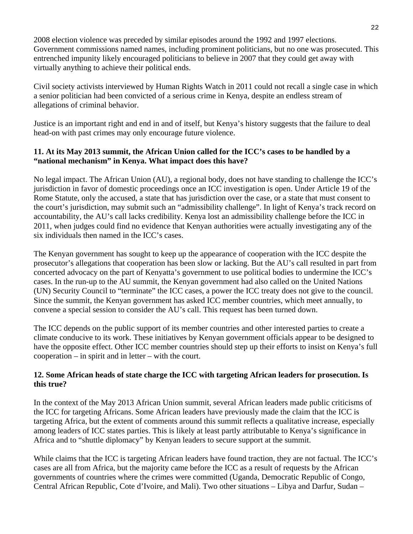2008 election violence was preceded by similar episodes around the 1992 and 1997 elections. Government commissions named names, including prominent politicians, but no one was prosecuted. This entrenched impunity likely encouraged politicians to believe in 2007 that they could get away with virtually anything to achieve their political ends.

Civil society activists interviewed by Human Rights Watch in 2011 could not recall a single case in which a senior politician had been convicted of a serious crime in Kenya, despite an endless stream of allegations of criminal behavior.

Justice is an important right and end in and of itself, but Kenya's history suggests that the failure to deal head-on with past crimes may only encourage future violence.

#### **11. At its May 2013 summit, the African Union called for the ICC's cases to be handled by a "national mechanism" in Kenya. What impact does this have?**

No legal impact. The African Union (AU), a regional body, does not have standing to challenge the ICC's jurisdiction in favor of domestic proceedings once an ICC investigation is open. Under Article 19 of the Rome Statute, only the accused, a state that has jurisdiction over the case, or a state that must consent to the court's jurisdiction, may submit such an "admissibility challenge". In light of Kenya's track record on accountability, the AU's call lacks credibility. Kenya lost an admissibility challenge before the ICC in 2011, when judges could find no evidence that Kenyan authorities were actually investigating any of the six individuals then named in the ICC's cases.

The Kenyan government has sought to keep up the appearance of cooperation with the ICC despite the prosecutor's allegations that cooperation has been slow or lacking. But the AU's call resulted in part from concerted advocacy on the part of Kenyatta's government to use political bodies to undermine the ICC's cases. In the run-up to the AU summit, the Kenyan government had also called on the United Nations (UN) Security Council to "terminate" the ICC cases, a power the ICC treaty does not give to the council. Since the summit, the Kenyan government has asked ICC member countries, which meet annually, to convene a special session to consider the AU's call. This request has been turned down.

The ICC depends on the public support of its member countries and other interested parties to create a climate conducive to its work. These initiatives by Kenyan government officials appear to be designed to have the opposite effect. Other ICC member countries should step up their efforts to insist on Kenya's full cooperation – in spirit and in letter – with the court.

#### **12. Some African heads of state charge the ICC with targeting African leaders for prosecution. Is this true?**

In the context of the May 2013 African Union summit, several African leaders made public criticisms of the ICC for targeting Africans. Some African leaders have previously made the claim that the ICC is targeting Africa, but the extent of comments around this summit reflects a qualitative increase, especially among leaders of ICC states parties. This is likely at least partly attributable to Kenya's significance in Africa and to "shuttle diplomacy" by Kenyan leaders to secure support at the summit.

While claims that the ICC is targeting African leaders have found traction, they are not factual. The ICC's cases are all from Africa, but the majority came before the ICC as a result of requests by the African governments of countries where the crimes were committed (Uganda, Democratic Republic of Congo, Central African Republic, Cote d'Ivoire, and Mali). Two other situations – Libya and Darfur, Sudan –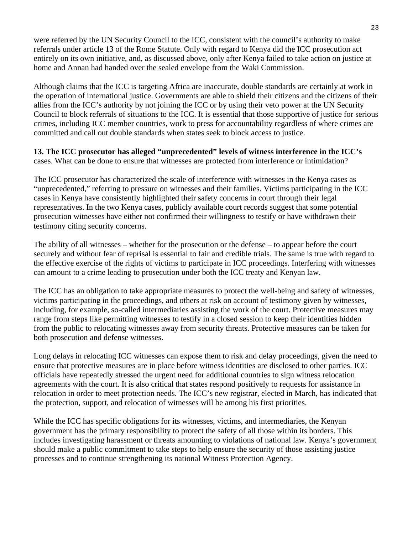were referred by the UN Security Council to the ICC, consistent with the council's authority to make referrals under article 13 of the Rome Statute. Only with regard to Kenya did the ICC prosecution act entirely on its own initiative, and, as discussed above, only after Kenya failed to take action on justice at home and Annan had handed over the sealed envelope from the Waki Commission.

Although claims that the ICC is targeting Africa are inaccurate, double standards are certainly at work in the operation of international justice. Governments are able to shield their citizens and the citizens of their allies from the ICC's authority by not joining the ICC or by using their veto power at the UN Security Council to block referrals of situations to the ICC. It is essential that those supportive of justice for serious crimes, including ICC member countries, work to press for accountability regardless of where crimes are committed and call out double standards when states seek to block access to justice.

**13. The ICC prosecutor has alleged "unprecedented" levels of witness interference in the ICC's** cases. What can be done to ensure that witnesses are protected from interference or intimidation?

The ICC prosecutor has characterized the scale of interference with witnesses in the Kenya cases as "unprecedented," referring to pressure on witnesses and their families. Victims participating in the ICC cases in Kenya have consistently highlighted their safety concerns in court through their legal representatives. In the two Kenya cases, publicly available court records suggest that some potential prosecution witnesses have either not confirmed their willingness to testify or have withdrawn their testimony citing security concerns.

The ability of all witnesses – whether for the prosecution or the defense – to appear before the court securely and without fear of reprisal is essential to fair and credible trials. The same is true with regard to the effective exercise of the rights of victims to participate in ICC proceedings. Interfering with witnesses can amount to a crime leading to prosecution under both the ICC treaty and Kenyan law.

The ICC has an obligation to take appropriate measures to protect the well-being and safety of witnesses, victims participating in the proceedings, and others at risk on account of testimony given by witnesses, including, for example, so-called intermediaries assisting the work of the court. Protective measures may range from steps like permitting witnesses to testify in a closed session to keep their identities hidden from the public to relocating witnesses away from security threats. Protective measures can be taken for both prosecution and defense witnesses.

Long delays in relocating ICC witnesses can expose them to risk and delay proceedings, given the need to ensure that protective measures are in place before witness identities are disclosed to other parties. ICC officials have repeatedly stressed the urgent need for additional countries to sign witness relocation agreements with the court. It is also critical that states respond positively to requests for assistance in relocation in order to meet protection needs. The ICC's new registrar, elected in March, has indicated that the protection, support, and relocation of witnesses will be among his first priorities.

While the ICC has specific obligations for its witnesses, victims, and intermediaries, the Kenyan government has the primary responsibility to protect the safety of all those within its borders. This includes investigating harassment or threats amounting to violations of national law. Kenya's government should make a public commitment to take steps to help ensure the security of those assisting justice processes and to continue strengthening its national Witness Protection Agency.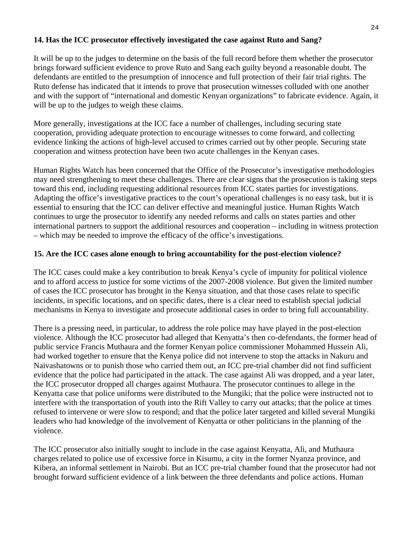#### **14. Has the ICC prosecutor effectively investigated the case against Ruto and Sang?**

It will be up to the judges to determine on the basis of the full record before them whether the prosecutor brings forward sufficient evidence to prove Ruto and Sang each guilty beyond a reasonable doubt. The defendants are entitled to the presumption of innocence and full protection of their fair trial rights. The Ruto defense has indicated that it intends to prove that prosecution witnesses colluded with one another and with the support of "international and domestic Kenyan organizations" to fabricate evidence. Again, it will be up to the judges to weigh these claims.

More generally, investigations at the ICC face a number of challenges, including securing state cooperation, providing adequate protection to encourage witnesses to come forward, and collecting evidence linking the actions of high-level accused to crimes carried out by other people. Securing state cooperation and witness protection have been two acute challenges in the Kenyan cases.

Human Rights Watch has been concerned that the Office of the Prosecutor's investigative methodologies may need strengthening to meet these challenges. There are clear signs that the prosecution is taking steps toward this end, including requesting additional resources from ICC states parties for investigations. Adapting the office's investigative practices to the court's operational challenges is no easy task, but it is essential to ensuring that the ICC can deliver effective and meaningful justice. Human Rights Watch continues to urge the prosecutor to identify any needed reforms and calls on states parties and other international partners to support the additional resources and cooperation – including in witness protection – which may be needed to improve the efficacy of the office's investigations.

#### **15. Are the ICC cases alone enough to bring accountability for the post-election violence?**

The ICC cases could make a key contribution to break Kenya's cycle of impunity for political violence and to afford access to justice for some victims of the 2007-2008 violence. But given the limited number of cases the ICC prosecutor has brought in the Kenya situation, and that those cases relate to specific incidents, in specific locations, and on specific dates, there is a clear need to establish special judicial mechanisms in Kenya to investigate and prosecute additional cases in order to bring full accountability.

There is a pressing need, in particular, to address the role police may have played in the post-election violence. Although the ICC prosecutor had alleged that Kenyatta's then co-defendants, the former head of public service Francis Muthaura and the former Kenyan police commissioner Mohammed Hussein Ali, had worked together to ensure that the Kenya police did not intervene to stop the attacks in Nakuru and Naivashatowns or to punish those who carried them out, an ICC pre-trial chamber did not find sufficient evidence that the police had participated in the attack. The case against Ali was dropped, and a year later, the ICC prosecutor dropped all charges against Muthaura. The prosecutor continues to allege in the Kenyatta case that police uniforms were distributed to the Mungiki; that the police were instructed not to interfere with the transportation of youth into the Rift Valley to carry out attacks; that the police at times refused to intervene or were slow to respond; and that the police later targeted and killed several Mungiki leaders who had knowledge of the involvement of Kenyatta or other politicians in the planning of the violence.

The ICC prosecutor also initially sought to include in the case against Kenyatta, Ali, and Muthaura charges related to police use of excessive force in Kisumu, a city in the former Nyanza province, and Kibera, an informal settlement in Nairobi. But an ICC pre-trial chamber found that the prosecutor had not brought forward sufficient evidence of a link between the three defendants and police actions. Human